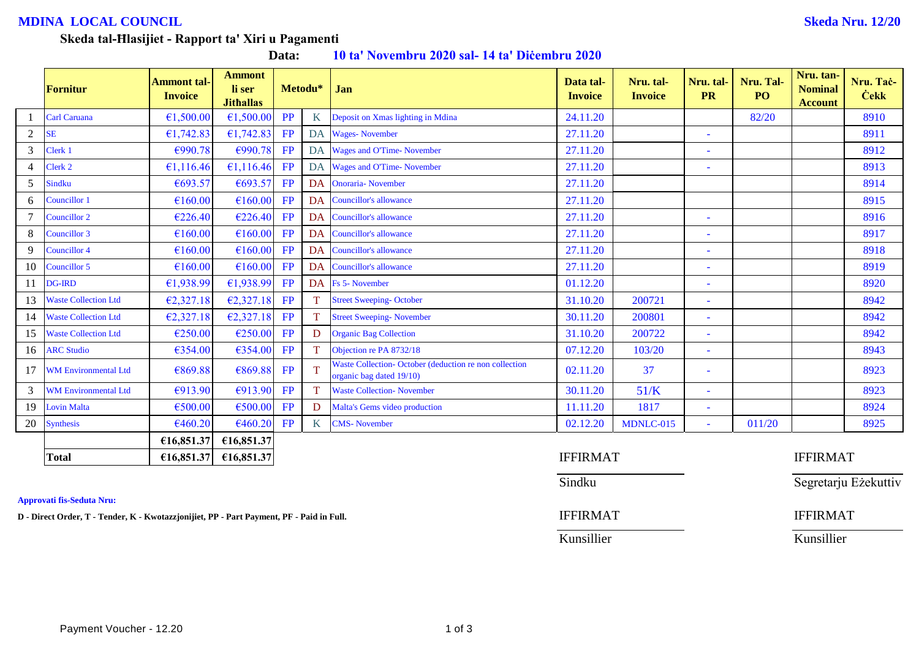## **MDINA LOCAL COUNCIL Skeda Nru. 12/20**

#### **Skeda tal-Ħlasijiet - Rapport ta' Xiri u Pagamenti**

**Data: 10 ta' Novembru 2020 sal- 14 ta' Diċembru 2020**

|                | Fornitur                    | <b>Ammont tal-</b><br><b>Invoice</b> | <b>Ammont</b><br>li ser<br><b>Jithallas</b> |                 | Metodu* | Jan                                                                               | Data tal-<br><b>Invoice</b> | Nru. tal-<br><b>Invoice</b> | Nru. tal-<br><b>PR</b>   | Nru. Tal-<br>PO <sub>1</sub> | Nru. tan-<br><b>Nominal</b><br><b>Account</b> | Nru. Tač-<br><b>Cekk</b> |
|----------------|-----------------------------|--------------------------------------|---------------------------------------------|-----------------|---------|-----------------------------------------------------------------------------------|-----------------------------|-----------------------------|--------------------------|------------------------------|-----------------------------------------------|--------------------------|
|                | <b>Carl Caruana</b>         | €1,500.00                            | €1,500.00                                   | <b>PP</b>       | K       | Deposit on Xmas lighting in Mdina                                                 | 24.11.20                    |                             |                          | 82/20                        |                                               | 8910                     |
| $\overline{2}$ | <b>SE</b>                   | €1,742.83                            | €1,742.83                                   | FP              | DA      | <b>Wages-November</b>                                                             | 27.11.20                    |                             | ۳                        |                              |                                               | 8911                     |
| 3              | Clerk 1                     | €990.78                              | €990.78                                     | FP              |         | DA Wages and O'Time-November                                                      | 27.11.20                    |                             |                          |                              |                                               | 8912                     |
| $\overline{4}$ | Clerk 2                     | €1,116.46                            | €1,116.46                                   | FP              |         | DA Wages and O'Time-November                                                      | 27.11.20                    |                             | ۰                        |                              |                                               | 8913                     |
| 5              | <b>Sindku</b>               | €693.57                              | €693.57                                     | FP              | DA      | <b>Onoraria-</b> November                                                         | 27.11.20                    |                             |                          |                              |                                               | 8914                     |
| 6              | <b>Councillor 1</b>         | €160.00                              | €160.00                                     | <b>FP</b>       | DA      | <b>Councillor's allowance</b>                                                     | 27.11.20                    |                             |                          |                              |                                               | 8915                     |
|                | <b>Councillor 2</b>         | €226.40                              | €226.40                                     | FP              | DA      | Councillor's allowance                                                            | 27.11.20                    |                             | ۰                        |                              |                                               | 8916                     |
| 8              | Councillor 3                | €160.00                              | €160.00                                     | FP              | DA      | Councillor's allowance                                                            | 27.11.20                    |                             | ۰                        |                              |                                               | 8917                     |
| 9              | Councillor 4                | €160.00                              | €160.00                                     | FP              | DA      | Councillor's allowance                                                            | 27.11.20                    |                             | ۳                        |                              |                                               | 8918                     |
| 10             | Councillor 5                | €160.00                              | €160.00                                     | FP              | DA      | <b>Councillor's allowance</b>                                                     | 27.11.20                    |                             | ۰                        |                              |                                               | 8919                     |
| 11             | DG-IRD                      | €1,938.99                            | £1,938.99                                   | FP              |         | DA Fs 5- November                                                                 | 01.12.20                    |                             |                          |                              |                                               | 8920                     |
| 13             | <b>Waste Collection Ltd</b> | €2,327.18                            | E2,327.18                                   | FP              |         | <b>Street Sweeping-October</b>                                                    | 31.10.20                    | 200721                      | ٠                        |                              |                                               | 8942                     |
| 14             | <b>Waste Collection Ltd</b> | €2,327.18                            | E2,327.18                                   | FP              |         | <b>Street Sweeping- November</b>                                                  | 30.11.20                    | 200801                      | ٠                        |                              |                                               | 8942                     |
| 15             | <b>Waste Collection Ltd</b> | €250.00                              | €250.00                                     | FP              | D       | <b>Organic Bag Collection</b>                                                     | 31.10.20                    | 200722                      | ٠                        |                              |                                               | 8942                     |
| 16             | <b>ARC Studio</b>           | €354.00                              | €354.00                                     | FP              |         | Objection re PA 8732/18                                                           | 07.12.20                    | 103/20                      | ٠                        |                              |                                               | 8943                     |
| 17             | <b>WM Environmental Ltd</b> | €869.88                              | €869.88                                     | <b>FP</b>       |         | Waste Collection-October (deduction re non collection<br>organic bag dated 19/10) | 02.11.20                    | 37                          | ٠                        |                              |                                               | 8923                     |
| 3              | <b>WM Environmental Ltd</b> | €913.90                              | €913.90                                     | FP              |         | <b>Waste Collection- November</b>                                                 | 30.11.20                    | 51/K                        | ۳                        |                              |                                               | 8923                     |
| 19             | <b>Lovin Malta</b>          | €500.00                              | €500.00                                     | <b>FP</b>       | D       | Malta's Gems video production                                                     | 11.11.20                    | 1817                        | $\overline{\phantom{a}}$ |                              |                                               | 8924                     |
| 20             | Synthesis                   | €460.20                              | €460.20                                     | FP              | K       | <b>CMS-</b> November                                                              | 02.12.20                    | MDNLC-015                   | $\sim$                   | 011/20                       |                                               | 8925                     |
|                |                             | €16,851.37                           | £16,851.37                                  |                 |         |                                                                                   |                             |                             |                          |                              |                                               |                          |
|                | <b>Total</b>                | €16,851.37                           | £16,851.37                                  | <b>IFFIRMAT</b> |         |                                                                                   |                             |                             |                          | <b>IFFIRMAT</b>              |                                               |                          |

**Approvati fis-Seduta Nru:**

**D** - Direct Order, T - Tender, K - Kwotazzjonijiet, PP - Part Payment, PF - Paid in Full. **IFFIRMAT** IFFIRMAT

| <b>IFFIRMAT</b> |  |
|-----------------|--|
| Sindku          |  |
| <b>IFFIRMAT</b> |  |

Segretarju Eżekuttiv

Kunsillier Kunsillier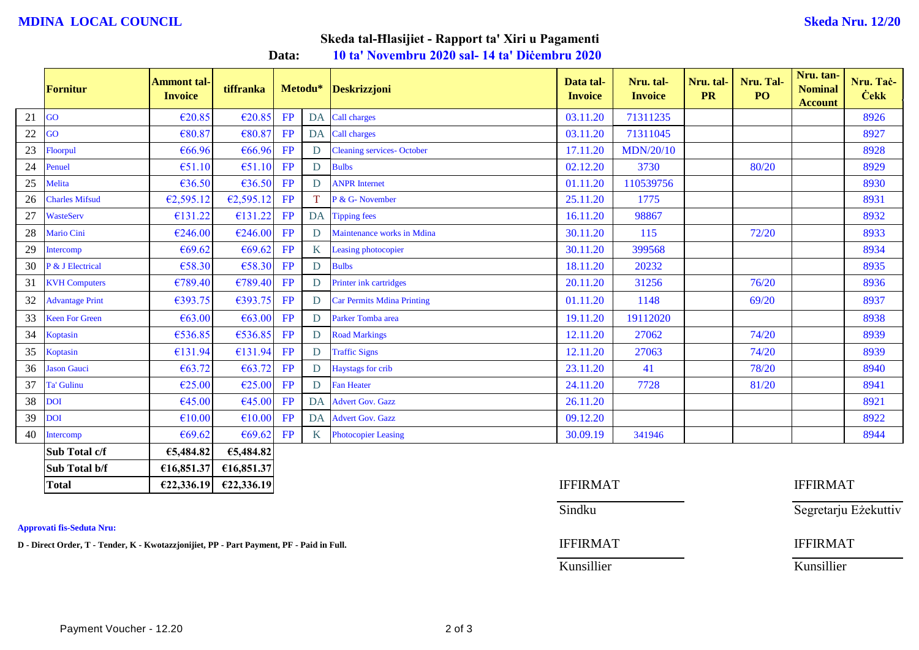## **MDINA LOCAL COUNCIL Skeda Nru. 12/20**

# **Skeda tal-Ħlasijiet - Rapport ta' Xiri u Pagamenti**

**Data: 10 ta' Novembru 2020 sal- 14 ta' Diċembru 2020**

|    | Fornitur               | <b>Ammont tal-</b><br><b>Invoice</b> | tiffranka  |    | Metodu*         | Deskrizzjoni                      | Data tal-<br><b>Invoice</b> | Nru. tal-<br><b>Invoice</b> | Nru. tal-<br><b>PR</b> | Nru. Tal-<br>PO <sub>1</sub> | Nru. tan-<br><b>Nominal</b><br><b>Account</b> | Nru. Tač-<br><b>Cekk</b> |
|----|------------------------|--------------------------------------|------------|----|-----------------|-----------------------------------|-----------------------------|-----------------------------|------------------------|------------------------------|-----------------------------------------------|--------------------------|
| 21 | GO                     | €20.85                               | €20.85     | FP |                 | DA Call charges                   | 03.11.20                    | 71311235                    |                        |                              |                                               | 8926                     |
| 22 | GO                     | €80.87                               | €80.87     | FP |                 | DA Call charges                   | 03.11.20                    | 71311045                    |                        |                              |                                               | 8927                     |
| 23 | Floorpul               | €66.96                               | €66.96     | FP | D               | <b>Cleaning services- October</b> | 17.11.20                    | <b>MDN/20/10</b>            |                        |                              |                                               | 8928                     |
| 24 | Penuel                 | €51.10                               | E51.10     | FP | D               | <b>Bulbs</b>                      | 02.12.20                    | 3730                        |                        | 80/20                        |                                               | 8929                     |
| 25 | Melita                 | €36.50                               | €36.50     | FP | D               | <b>ANPR</b> Internet              | 01.11.20                    | 110539756                   |                        |                              |                                               | 8930                     |
| 26 | <b>Charles Mifsud</b>  | €2,595.12                            | €2,595.12  | FP | T.              | P & G- November                   | 25.11.20                    | 1775                        |                        |                              |                                               | 8931                     |
| 27 | <b>WasteServ</b>       | €131.22                              | €131.22    | FP | <b>DA</b>       | <b>Tipping fees</b>               | 16.11.20                    | 98867                       |                        |                              |                                               | 8932                     |
| 28 | Mario Cini             | €246.00                              | €246.00    | FP | D               | Maintenance works in Mdina        | 30.11.20                    | 115                         |                        | 72/20                        |                                               | 8933                     |
| 29 | Intercomp              | €69.62                               | €69.62     | FP | K               | <b>Leasing photocopier</b>        | 30.11.20                    | 399568                      |                        |                              |                                               | 8934                     |
| 30 | P & J Electrical       | €58.30                               | €58.30     | FP | D               | <b>Bulbs</b>                      | 18.11.20                    | 20232                       |                        |                              |                                               | 8935                     |
| 31 | <b>KVH Computers</b>   | €789.40                              | €789.40    | FP | D               | Printer ink cartridges            | 20.11.20                    | 31256                       |                        | 76/20                        |                                               | 8936                     |
| 32 | <b>Advantage Print</b> | €393.75                              | €393.75    | FP | D               | <b>Car Permits Mdina Printing</b> | 01.11.20                    | 1148                        |                        | 69/20                        |                                               | 8937                     |
| 33 | <b>Keen For Green</b>  | €63.00                               | €63.00     | FP | D               | Parker Tomba area                 | 19.11.20                    | 19112020                    |                        |                              |                                               | 8938                     |
| 34 | Koptasin               | €536.85                              | €536.85    | FP | D               | <b>Road Markings</b>              | 12.11.20                    | 27062                       |                        | 74/20                        |                                               | 8939                     |
| 35 | Koptasin               | €131.94                              | €131.94    | FP | D               | <b>Traffic Signs</b>              | 12.11.20                    | 27063                       |                        | 74/20                        |                                               | 8939                     |
| 36 | <b>Jason Gauci</b>     | € $63.72$                            | € $63.72$  | FP | D               | Haystags for crib                 | 23.11.20                    | 41                          |                        | 78/20                        |                                               | 8940                     |
| 37 | <b>Ta' Gulinu</b>      | €25.00                               | E25.00     | FP | D               | <b>Fan Heater</b>                 | 24.11.20                    | 7728                        |                        | 81/20                        |                                               | 8941                     |
| 38 | <b>DOI</b>             | €45.00                               | €45.00     | FP | DA              | <b>Advert Gov. Gazz</b>           | 26.11.20                    |                             |                        |                              |                                               | 8921                     |
| 39 | <b>DOI</b>             | €10.00                               | €10.00     | FP | DA              | <b>Advert Gov. Gazz</b>           | 09.12.20                    |                             |                        |                              |                                               | 8922                     |
| 40 | Intercomp              | €69.62                               | €69.62     | FP | $K_{\parallel}$ | <b>Photocopier Leasing</b>        | 30.09.19                    | 341946                      |                        |                              |                                               | 8944                     |
|    | Sub Total c/f          | €5,484.82                            | €5,484.82  |    |                 |                                   |                             |                             |                        |                              |                                               |                          |
|    | Sub Total b/f          | €16,851.37                           | €16,851.37 |    |                 |                                   |                             |                             |                        |                              |                                               |                          |
|    | <b>Total</b>           | E22,336.19                           | E22,336.19 |    |                 |                                   | <b>IFFIRMAT</b>             |                             |                        |                              | <b>IFFIRMAT</b>                               |                          |

**Approvati fis-Seduta Nru:**

**D** - Direct Order, T - Tender, K - Kwotazzjonijiet, PP - Part Payment, PF - Paid in Full. **IFFIRMAT** IFFIRMAT

Sindku Sindku Segretarju Eżekuttiv

Kunsillier Kunsillier